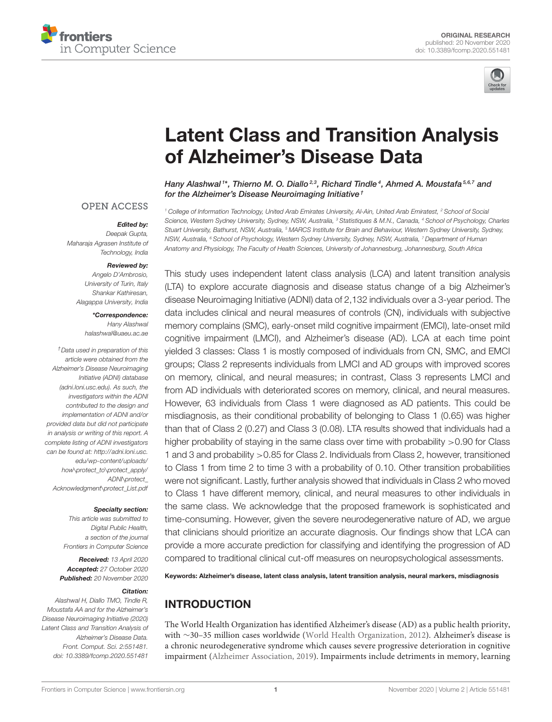



# [Latent Class and Transition Analysis](https://www.frontiersin.org/articles/10.3389/fcomp.2020.551481/full) of Alzheimer's Disease Data

Hany Alashwal <sup>1\*</sup>, Thierno M. O. Diallo<sup>2,3</sup>, Richard Tindle<sup>4</sup>, Ahmed A. Moustafa<sup>5,6,7</sup> and for the Alzheimer's Disease Neuroimaging Initiative†

*<sup>1</sup> College of Information Technology, United Arab Emirates University, Al-Ain, United Arab Emiratest, <sup>2</sup> School of Social Science, Western Sydney University, Sydney, NSW, Australia, <sup>3</sup> Statistiques & M.N., Canada, <sup>4</sup> School of Psychology, Charles Stuart University, Bathurst, NSW, Australia, <sup>5</sup> MARCS Institute for Brain and Behaviour, Western Sydney University, Sydney, NSW, Australia, <sup>6</sup> School of Psychology, Western Sydney University, Sydney, NSW, Australia, <sup>7</sup> Department of Human Anatomy and Physiology, The Faculty of Health Sciences, University of Johannesburg, Johannesburg, South Africa*

This study uses independent latent class analysis (LCA) and latent transition analysis (LTA) to explore accurate diagnosis and disease status change of a big Alzheimer's disease Neuroimaging Initiative (ADNI) data of 2,132 individuals over a 3-year period. The data includes clinical and neural measures of controls (CN), individuals with subjective memory complains (SMC), early-onset mild cognitive impairment (EMCI), late-onset mild cognitive impairment (LMCI), and Alzheimer's disease (AD). LCA at each time point yielded 3 classes: Class 1 is mostly composed of individuals from CN, SMC, and EMCI groups; Class 2 represents individuals from LMCI and AD groups with improved scores on memory, clinical, and neural measures; in contrast, Class 3 represents LMCI and from AD individuals with deteriorated scores on memory, clinical, and neural measures. However, 63 individuals from Class 1 were diagnosed as AD patients. This could be misdiagnosis, as their conditional probability of belonging to Class 1 (0.65) was higher than that of Class 2 (0.27) and Class 3 (0.08). LTA results showed that individuals had a higher probability of staying in the same class over time with probability >0.90 for Class 1 and 3 and probability >0.85 for Class 2. Individuals from Class 2, however, transitioned to Class 1 from time 2 to time 3 with a probability of 0.10. Other transition probabilities were not significant. Lastly, further analysis showed that individuals in Class 2 who moved to Class 1 have different memory, clinical, and neural measures to other individuals in the same class. We acknowledge that the proposed framework is sophisticated and time-consuming. However, given the severe neurodegenerative nature of AD, we argue that clinicians should prioritize an accurate diagnosis. Our findings show that LCA can provide a more accurate prediction for classifying and identifying the progression of AD compared to traditional clinical cut-off measures on neuropsychological assessments.

Keywords: Alzheimer's disease, latent class analysis, latent transition analysis, neural markers, misdiagnosis

# INTRODUCTION

The World Health Organization has identified Alzheimer's disease (AD) as a public health priority, with ∼30–35 million cases worldwide [\(World Health Organization, 2012\)](#page-12-0). Alzheimer's disease is a chronic neurodegenerative syndrome which causes severe progressive deterioration in cognitive impairment [\(Alzheimer Association, 2019\)](#page-11-0). Impairments include detriments in memory, learning

#### **OPEN ACCESS**

#### Edited by:

*Deepak Gupta, Maharaja Agrasen Institute of Technology, India*

#### Reviewed by:

*Angelo D'Ambrosio, University of Turin, Italy Shankar Kathiresan, Alagappa University, India*

#### \*Correspondence: *Hany Alashwal*

*[halashwal@uaeu.ac.ae](mailto:halashwal@uaeu.ac.ae)*

*†Data used in preparation of this article were obtained from the Alzheimer's Disease Neuroimaging Initiative (ADNI) database (adni.loni.usc.edu). As such, the investigators within the ADNI contributed to the design and implementation of ADNI and/or provided data but did not participate in analysis or writing of this report. A complete listing of ADNI investigators can be found at: [http://adni.loni.usc.](http://adni.loni.usc.edu/wp-content/uploads/howprotect _toprotect _apply/ADNIprotect _Acknowledgmentprotect _List.pdf) [edu/wp-content/uploads/](http://adni.loni.usc.edu/wp-content/uploads/howprotect _toprotect _apply/ADNIprotect _Acknowledgmentprotect _List.pdf) [how\protect\\_to\protect\\_apply/](http://adni.loni.usc.edu/wp-content/uploads/howprotect _toprotect _apply/ADNIprotect _Acknowledgmentprotect _List.pdf) [ADNI\protect\\_](http://adni.loni.usc.edu/wp-content/uploads/howprotect _toprotect _apply/ADNIprotect _Acknowledgmentprotect _List.pdf) [Acknowledgment\protect\\_List.pdf](http://adni.loni.usc.edu/wp-content/uploads/howprotect _toprotect _apply/ADNIprotect _Acknowledgmentprotect _List.pdf)*

#### Specialty section:

*This article was submitted to Digital Public Health, a section of the journal Frontiers in Computer Science*

Received: *13 April 2020* Accepted: *27 October 2020* Published: *20 November 2020*

#### Citation:

*Alashwal H, Diallo TMO, Tindle R, Moustafa AA and for the Alzheimer's Disease Neuroimaging Initiative (2020) Latent Class and Transition Analysis of Alzheimer's Disease Data. Front. Comput. Sci. 2:551481. doi: [10.3389/fcomp.2020.551481](https://doi.org/10.3389/fcomp.2020.551481)*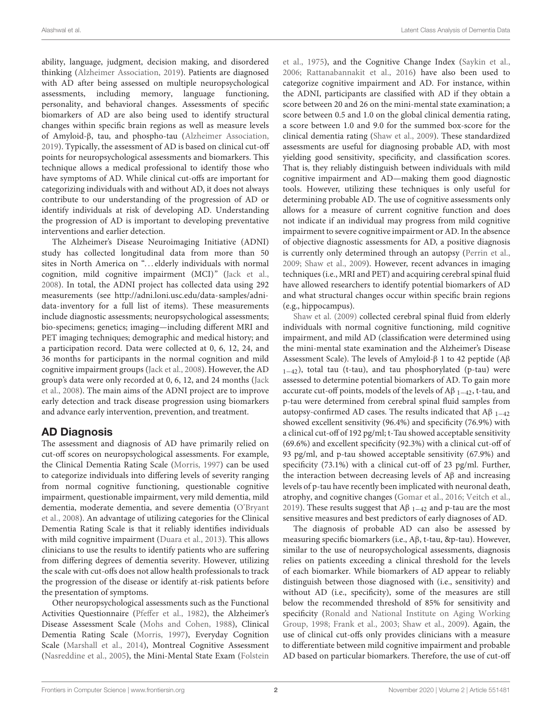ability, language, judgment, decision making, and disordered thinking [\(Alzheimer Association, 2019\)](#page-11-0). Patients are diagnosed with AD after being assessed on multiple neuropsychological assessments, including memory, language functioning, personality, and behavioral changes. Assessments of specific biomarkers of AD are also being used to identify structural changes within specific brain regions as well as measure levels of Amyloid-β, tau, and phospho-tau [\(Alzheimer Association,](#page-11-0) [2019\)](#page-11-0). Typically, the assessment of AD is based on clinical cut-off points for neuropsychological assessments and biomarkers. This technique allows a medical professional to identify those who have symptoms of AD. While clinical cut-offs are important for categorizing individuals with and without AD, it does not always contribute to our understanding of the progression of AD or identify individuals at risk of developing AD. Understanding the progression of AD is important to developing preventative interventions and earlier detection.

The Alzheimer's Disease Neuroimaging Initiative (ADNI) study has collected longitudinal data from more than 50 sites in North America on "...elderly individuals with normal cognition, mild cognitive impairment (MCI)" [\(Jack et al.,](#page-11-1) [2008\)](#page-11-1). In total, the ADNI project has collected data using 292 measurements (see [http://adni.loni.usc.edu/data-samples/adni](http://adni.loni.usc.edu/data-samples/adni-data-inventory)[data-inventory](http://adni.loni.usc.edu/data-samples/adni-data-inventory) for a full list of items). These measurements include diagnostic assessments; neuropsychological assessments; bio-specimens; genetics; imaging—including different MRI and PET imaging techniques; demographic and medical history; and a participation record. Data were collected at 0, 6, 12, 24, and 36 months for participants in the normal cognition and mild cognitive impairment groups [\(Jack et al., 2008\)](#page-11-1). However, the AD group's data were only recorded at 0, 6, 12, and 24 months (Jack et al., [2008\)](#page-11-1). The main aims of the ADNI project are to improve early detection and track disease progression using biomarkers and advance early intervention, prevention, and treatment.

# AD Diagnosis

The assessment and diagnosis of AD have primarily relied on cut-off scores on neuropsychological assessments. For example, the Clinical Dementia Rating Scale [\(Morris, 1997\)](#page-11-2) can be used to categorize individuals into differing levels of severity ranging from normal cognitive functioning, questionable cognitive impairment, questionable impairment, very mild dementia, mild dementia, moderate dementia, and severe dementia (O'Bryant et al., [2008\)](#page-11-3). An advantage of utilizing categories for the Clinical Dementia Rating Scale is that it reliably identifies individuals with mild cognitive impairment [\(Duara et al., 2013\)](#page-11-4). This allows clinicians to use the results to identify patients who are suffering from differing degrees of dementia severity. However, utilizing the scale with cut-offs does not allow health professionals to track the progression of the disease or identify at-risk patients before the presentation of symptoms.

Other neuropsychological assessments such as the Functional Activities Questionnaire [\(Pfeffer et al., 1982\)](#page-11-5), the Alzheimer's Disease Assessment Scale [\(Mohs and Cohen, 1988\)](#page-11-6), Clinical Dementia Rating Scale [\(Morris, 1997\)](#page-11-2), Everyday Cognition Scale [\(Marshall et al., 2014\)](#page-11-7), Montreal Cognitive Assessment [\(Nasreddine et al., 2005\)](#page-11-8), the Mini-Mental State Exam (Folstein et al., [1975\)](#page-11-9), and the Cognitive Change Index [\(Saykin et al.,](#page-11-10) [2006;](#page-11-10) [Rattanabannakit et al., 2016\)](#page-11-11) have also been used to categorize cognitive impairment and AD. For instance, within the ADNI, participants are classified with AD if they obtain a score between 20 and 26 on the mini-mental state examination; a score between 0.5 and 1.0 on the global clinical dementia rating, a score between 1.0 and 9.0 for the summed box-score for the clinical dementia rating [\(Shaw et al., 2009\)](#page-11-12). These standardized assessments are useful for diagnosing probable AD, with most yielding good sensitivity, specificity, and classification scores. That is, they reliably distinguish between individuals with mild cognitive impairment and AD—making them good diagnostic tools. However, utilizing these techniques is only useful for determining probable AD. The use of cognitive assessments only allows for a measure of current cognitive function and does not indicate if an individual may progress from mild cognitive impairment to severe cognitive impairment or AD. In the absence of objective diagnostic assessments for AD, a positive diagnosis is currently only determined through an autopsy [\(Perrin et al.,](#page-11-13) [2009;](#page-11-13) [Shaw et al., 2009\)](#page-11-12). However, recent advances in imaging techniques (i.e., MRI and PET) and acquiring cerebral spinal fluid have allowed researchers to identify potential biomarkers of AD and what structural changes occur within specific brain regions (e.g., hippocampus).

[Shaw et al. \(2009\)](#page-11-12) collected cerebral spinal fluid from elderly individuals with normal cognitive functioning, mild cognitive impairment, and mild AD (classification were determined using the mini-mental state examination and the Alzheimer's Disease Assessment Scale). The levels of Amyloid-β 1 to 42 peptide (Aβ <sup>1</sup>−42), total tau (t-tau), and tau phosphorylated (p-tau) were assessed to determine potential biomarkers of AD. To gain more accurate cut-off points, models of the levels of A $\beta_{1-42}$ , t-tau, and p-tau were determined from cerebral spinal fluid samples from autopsy-confirmed AD cases. The results indicated that  $Aβ_{1-42}$ showed excellent sensitivity (96.4%) and specificity (76.9%) with a clinical cut-off of 192 pg/ml; t-Tau showed acceptable sensitivity (69.6%) and excellent specificity (92.3%) with a clinical cut-off of 93 pg/ml, and p-tau showed acceptable sensitivity (67.9%) and specificity (73.1%) with a clinical cut-off of 23 pg/ml. Further, the interaction between decreasing levels of Aβ and increasing levels of p-tau have recently been implicated with neuronal death, atrophy, and cognitive changes [\(Gomar et al., 2016;](#page-11-14) [Veitch et al.,](#page-11-15) [2019\)](#page-11-15). These results suggest that A $\beta_{1-42}$  and p-tau are the most sensitive measures and best predictors of early diagnoses of AD.

The diagnosis of probable AD can also be assessed by measuring specific biomarkers (i.e., Aβ, t-tau, &p-tau). However, similar to the use of neuropsychological assessments, diagnosis relies on patients exceeding a clinical threshold for the levels of each biomarker. While biomarkers of AD appear to reliably distinguish between those diagnosed with (i.e., sensitivity) and without AD (i.e., specificity), some of the measures are still below the recommended threshold of 85% for sensitivity and specificity (Ronald and National Institute on Aging Working Group, [1998;](#page-11-16) [Frank et al., 2003;](#page-11-17) [Shaw et al., 2009\)](#page-11-12). Again, the use of clinical cut-offs only provides clinicians with a measure to differentiate between mild cognitive impairment and probable AD based on particular biomarkers. Therefore, the use of cut-off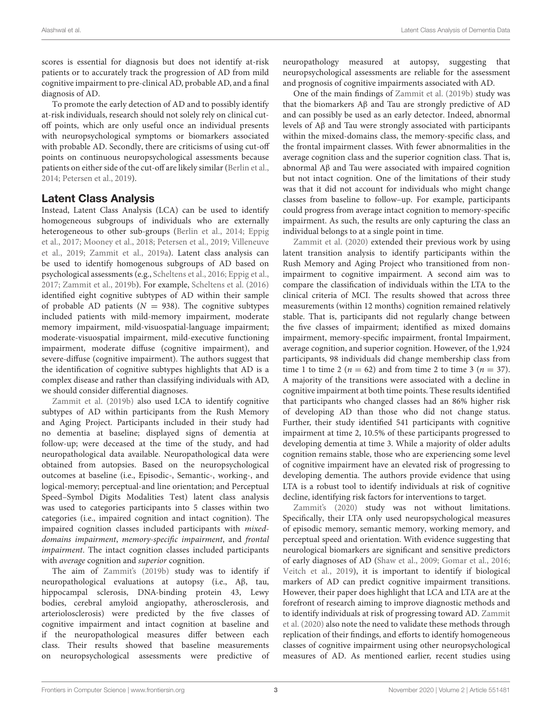scores is essential for diagnosis but does not identify at-risk patients or to accurately track the progression of AD from mild cognitive impairment to pre-clinical AD, probable AD, and a final diagnosis of AD.

To promote the early detection of AD and to possibly identify at-risk individuals, research should not solely rely on clinical cutoff points, which are only useful once an individual presents with neuropsychological symptoms or biomarkers associated with probable AD. Secondly, there are criticisms of using cut-off points on continuous neuropsychological assessments because patients on either side of the cut-off are likely similar [\(Berlin et al.,](#page-11-18) [2014;](#page-11-18) [Petersen et al., 2019\)](#page-11-19).

### Latent Class Analysis

Instead, Latent Class Analysis (LCA) can be used to identify homogeneous subgroups of individuals who are externally heterogeneous to other sub-groups [\(Berlin et al., 2014;](#page-11-18) Eppig et al., [2017;](#page-11-20) [Mooney et al., 2018;](#page-11-21) [Petersen et al., 2019;](#page-11-19) Villeneuve et al., [2019;](#page-12-1) [Zammit et al., 2019a\)](#page-12-2). Latent class analysis can be used to identify homogenous subgroups of AD based on psychological assessments (e.g., [Scheltens et al., 2016;](#page-11-22) [Eppig et al.,](#page-11-20) [2017;](#page-11-20) [Zammit et al., 2019b\)](#page-12-3). For example, [Scheltens et al. \(2016\)](#page-11-22) identified eight cognitive subtypes of AD within their sample of probable AD patients ( $N = 938$ ). The cognitive subtypes included patients with mild-memory impairment, moderate memory impairment, mild-visuospatial-language impairment; moderate-visuospatial impairment, mild-executive functioning impairment, moderate diffuse (cognitive impairment), and severe-diffuse (cognitive impairment). The authors suggest that the identification of cognitive subtypes highlights that AD is a complex disease and rather than classifying individuals with AD, we should consider differential diagnoses.

[Zammit et al. \(2019b\)](#page-12-3) also used LCA to identify cognitive subtypes of AD within participants from the Rush Memory and Aging Project. Participants included in their study had no dementia at baseline; displayed signs of dementia at follow-up; were deceased at the time of the study, and had neuropathological data available. Neuropathological data were obtained from autopsies. Based on the neuropsychological outcomes at baseline (i.e., Episodic-, Semantic-, working-, and logical-memory; perceptual-and line orientation; and Perceptual Speed–Symbol Digits Modalities Test) latent class analysis was used to categories participants into 5 classes within two categories (i.e., impaired cognition and intact cognition). The impaired cognition classes included participants with mixeddomains impairment, memory-specific impairment, and frontal impairment. The intact cognition classes included participants with average cognition and superior cognition.

The aim of [Zammit's \(2019b\)](#page-12-3) study was to identify if neuropathological evaluations at autopsy (i.e., Aβ, tau, hippocampal sclerosis, DNA-binding protein 43, Lewy bodies, cerebral amyloid angiopathy, atherosclerosis, and arteriolosclerosis) were predicted by the five classes of cognitive impairment and intact cognition at baseline and if the neuropathological measures differ between each class. Their results showed that baseline measurements on neuropsychological assessments were predictive of neuropathology measured at autopsy, suggesting that neuropsychological assessments are reliable for the assessment and prognosis of cognitive impairments associated with AD.

One of the main findings of [Zammit et al. \(2019b\)](#page-12-3) study was that the biomarkers Aβ and Tau are strongly predictive of AD and can possibly be used as an early detector. Indeed, abnormal levels of Aβ and Tau were strongly associated with participants within the mixed-domains class, the memory-specific class, and the frontal impairment classes. With fewer abnormalities in the average cognition class and the superior cognition class. That is, abnormal Aβ and Tau were associated with impaired cognition but not intact cognition. One of the limitations of their study was that it did not account for individuals who might change classes from baseline to follow–up. For example, participants could progress from average intact cognition to memory-specific impairment. As such, the results are only capturing the class an individual belongs to at a single point in time.

[Zammit et al. \(2020\)](#page-12-4) extended their previous work by using latent transition analysis to identify participants within the Rush Memory and Aging Project who transitioned from nonimpairment to cognitive impairment. A second aim was to compare the classification of individuals within the LTA to the clinical criteria of MCI. The results showed that across three measurements (within 12 months) cognition remained relatively stable. That is, participants did not regularly change between the five classes of impairment; identified as mixed domains impairment, memory-specific impairment, frontal Impairment, average cognition, and superior cognition. However, of the 1,924 participants, 98 individuals did change membership class from time 1 to time 2 ( $n = 62$ ) and from time 2 to time 3 ( $n = 37$ ). A majority of the transitions were associated with a decline in cognitive impairment at both time points. These results identified that participants who changed classes had an 86% higher risk of developing AD than those who did not change status. Further, their study identified 541 participants with cognitive impairment at time 2, 10.5% of these participants progressed to developing dementia at time 3. While a majority of older adults cognition remains stable, those who are experiencing some level of cognitive impairment have an elevated risk of progressing to developing dementia. The authors provide evidence that using LTA is a robust tool to identify individuals at risk of cognitive decline, identifying risk factors for interventions to target.

[Zammit's \(2020\)](#page-12-4) study was not without limitations. Specifically, their LTA only used neuropsychological measures of episodic memory, semantic memory, working memory, and perceptual speed and orientation. With evidence suggesting that neurological biomarkers are significant and sensitive predictors of early diagnoses of AD [\(Shaw et al., 2009;](#page-11-12) [Gomar et al., 2016;](#page-11-14) [Veitch et al., 2019\)](#page-11-15), it is important to identify if biological markers of AD can predict cognitive impairment transitions. However, their paper does highlight that LCA and LTA are at the forefront of research aiming to improve diagnostic methods and to identify individuals at risk of progressing toward AD. Zammit et al. [\(2020\)](#page-12-4) also note the need to validate these methods through replication of their findings, and efforts to identify homogeneous classes of cognitive impairment using other neuropsychological measures of AD. As mentioned earlier, recent studies using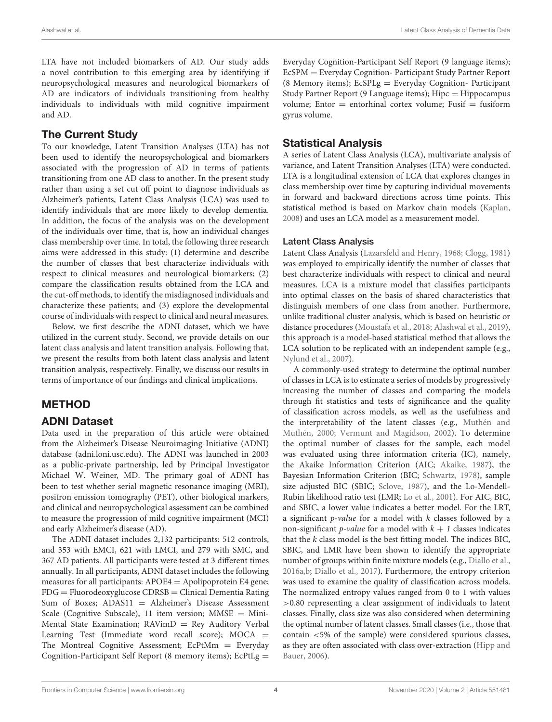LTA have not included biomarkers of AD. Our study adds a novel contribution to this emerging area by identifying if neuropsychological measures and neurological biomarkers of AD are indicators of individuals transitioning from healthy individuals to individuals with mild cognitive impairment and AD.

#### The Current Study

To our knowledge, Latent Transition Analyses (LTA) has not been used to identify the neuropsychological and biomarkers associated with the progression of AD in terms of patients transitioning from one AD class to another. In the present study rather than using a set cut off point to diagnose individuals as Alzheimer's patients, Latent Class Analysis (LCA) was used to identify individuals that are more likely to develop dementia. In addition, the focus of the analysis was on the development of the individuals over time, that is, how an individual changes class membership over time. In total, the following three research aims were addressed in this study: (1) determine and describe the number of classes that best characterize individuals with respect to clinical measures and neurological biomarkers; (2) compare the classification results obtained from the LCA and the cut-off methods, to identify the misdiagnosed individuals and characterize these patients; and (3) explore the developmental course of individuals with respect to clinical and neural measures.

Below, we first describe the ADNI dataset, which we have utilized in the current study. Second, we provide details on our latent class analysis and latent transition analysis. Following that, we present the results from both latent class analysis and latent transition analysis, respectively. Finally, we discuss our results in terms of importance of our findings and clinical implications.

# METHOD

### ADNI Dataset

Data used in the preparation of this article were obtained from the Alzheimer's Disease Neuroimaging Initiative (ADNI) database (adni.loni.usc.edu). The ADNI was launched in 2003 as a public-private partnership, led by Principal Investigator Michael W. Weiner, MD. The primary goal of ADNI has been to test whether serial magnetic resonance imaging (MRI), positron emission tomography (PET), other biological markers, and clinical and neuropsychological assessment can be combined to measure the progression of mild cognitive impairment (MCI) and early Alzheimer's disease (AD).

The ADNI dataset includes 2,132 participants: 512 controls, and 353 with EMCI, 621 with LMCI, and 279 with SMC, and 367 AD patients. All participants were tested at 3 different times annually. In all participants, ADNI dataset includes the following measures for all participants: APOE4 = Apolipoprotein E4 gene;  $FDG = Fluorodeoxyglucose CDRSB = Clinical Dementia Rating$ Sum of Boxes; ADAS11 = Alzheimer's Disease Assessment Scale (Cognitive Subscale), 11 item version; MMSE = Mini-Mental State Examination;  $RAV$ im $D = Rey$  Auditory Verbal Learning Test (Immediate word recall score); MOCA = The Montreal Cognitive Assessment; EcPtMm = Everyday Cognition-Participant Self Report (8 memory items); EcPtLg = Everyday Cognition-Participant Self Report (9 language items); EcSPM = Everyday Cognition- Participant Study Partner Report (8 Memory items); EcSPLg = Everyday Cognition- Participant Study Partner Report (9 Language items);  $Hipc = Hippocampus$ volume; Entor  $=$  entorhinal cortex volume; Fusif  $=$  fusiform gyrus volume.

### Statistical Analysis

A series of Latent Class Analysis (LCA), multivariate analysis of variance, and Latent Transition Analyses (LTA) were conducted. LTA is a longitudinal extension of LCA that explores changes in class membership over time by capturing individual movements in forward and backward directions across time points. This statistical method is based on Markov chain models [\(Kaplan,](#page-11-23) [2008\)](#page-11-23) and uses an LCA model as a measurement model.

#### Latent Class Analysis

Latent Class Analysis [\(Lazarsfeld and Henry, 1968;](#page-11-24) [Clogg, 1981\)](#page-11-25) was employed to empirically identify the number of classes that best characterize individuals with respect to clinical and neural measures. LCA is a mixture model that classifies participants into optimal classes on the basis of shared characteristics that distinguish members of one class from another. Furthermore, unlike traditional cluster analysis, which is based on heuristic or distance procedures [\(Moustafa et al., 2018;](#page-11-26) [Alashwal et al., 2019\)](#page-10-0), this approach is a model-based statistical method that allows the LCA solution to be replicated with an independent sample (e.g., [Nylund et al., 2007\)](#page-11-27).

A commonly-used strategy to determine the optimal number of classes in LCA is to estimate a series of models by progressively increasing the number of classes and comparing the models through fit statistics and tests of significance and the quality of classification across models, as well as the usefulness and the interpretability of the latent classes (e.g., Muthén and Muthén, [2000;](#page-11-28) [Vermunt and Magidson, 2002\)](#page-11-29). To determine the optimal number of classes for the sample, each model was evaluated using three information criteria (IC), namely, the Akaike Information Criterion (AIC; [Akaike, 1987\)](#page-10-1), the Bayesian Information Criterion (BIC; [Schwartz, 1978\)](#page-11-30), sample size adjusted BIC (SBIC; [Sclove, 1987\)](#page-11-31), and the Lo-Mendell-Rubin likelihood ratio test (LMR; [Lo et al., 2001\)](#page-11-32). For AIC, BIC, and SBIC, a lower value indicates a better model. For the LRT, a significant  $p$ -value for a model with  $k$  classes followed by a non-significant *p-value* for a model with  $k + 1$  classes indicates that the  $k$  class model is the best fitting model. The indices BIC, SBIC, and LMR have been shown to identify the appropriate number of groups within finite mixture models (e.g., [Diallo et al.,](#page-11-33) [2016a](#page-11-33)[,b;](#page-11-34) [Diallo et al., 2017\)](#page-11-35). Furthermore, the entropy criterion was used to examine the quality of classification across models. The normalized entropy values ranged from 0 to 1 with values >0.80 representing a clear assignment of individuals to latent classes. Finally, class size was also considered when determining the optimal number of latent classes. Small classes (i.e., those that contain <5% of the sample) were considered spurious classes, as they are often associated with class over-extraction (Hipp and Bauer, [2006\)](#page-11-36).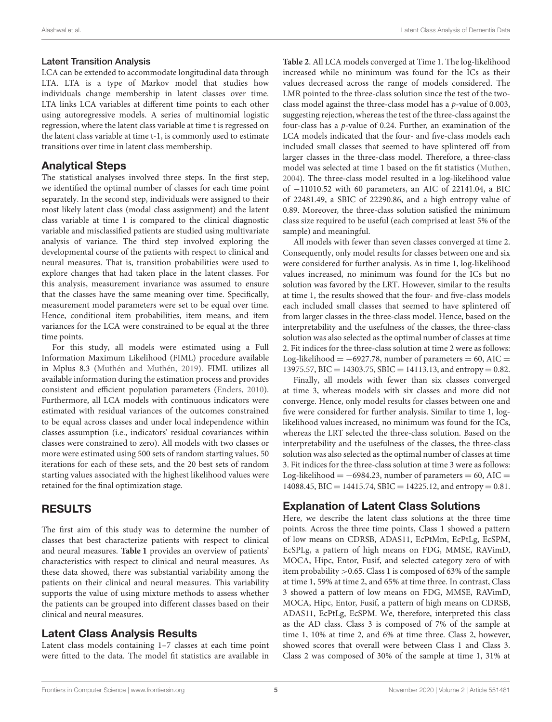#### Latent Transition Analysis

LCA can be extended to accommodate longitudinal data through LTA. LTA is a type of Markov model that studies how individuals change membership in latent classes over time. LTA links LCA variables at different time points to each other using autoregressive models. A series of multinomial logistic regression, where the latent class variable at time t is regressed on the latent class variable at time t-1, is commonly used to estimate transitions over time in latent class membership.

#### Analytical Steps

The statistical analyses involved three steps. In the first step, we identified the optimal number of classes for each time point separately. In the second step, individuals were assigned to their most likely latent class (modal class assignment) and the latent class variable at time 1 is compared to the clinical diagnostic variable and misclassified patients are studied using multivariate analysis of variance. The third step involved exploring the developmental course of the patients with respect to clinical and neural measures. That is, transition probabilities were used to explore changes that had taken place in the latent classes. For this analysis, measurement invariance was assumed to ensure that the classes have the same meaning over time. Specifically, measurement model parameters were set to be equal over time. Hence, conditional item probabilities, item means, and item variances for the LCA were constrained to be equal at the three time points.

For this study, all models were estimated using a Full Information Maximum Likelihood (FIML) procedure available in Mplus 8.3 [\(Muthén and Muthén, 2019\)](#page-11-37). FIML utilizes all available information during the estimation process and provides consistent and efficient population parameters [\(Enders, 2010\)](#page-11-38). Furthermore, all LCA models with continuous indicators were estimated with residual variances of the outcomes constrained to be equal across classes and under local independence within classes assumption (i.e., indicators' residual covariances within classes were constrained to zero). All models with two classes or more were estimated using 500 sets of random starting values, 50 iterations for each of these sets, and the 20 best sets of random starting values associated with the highest likelihood values were retained for the final optimization stage.

# RESULTS

The first aim of this study was to determine the number of classes that best characterize patients with respect to clinical and neural measures. **[Table 1](#page-5-0)** provides an overview of patients' characteristics with respect to clinical and neural measures. As these data showed, there was substantial variability among the patients on their clinical and neural measures. This variability supports the value of using mixture methods to assess whether the patients can be grouped into different classes based on their clinical and neural measures.

### Latent Class Analysis Results

Latent class models containing 1–7 classes at each time point were fitted to the data. The model fit statistics are available in

**[Table 2](#page-6-0)**. All LCA models converged at Time 1. The log-likelihood increased while no minimum was found for the ICs as their values decreased across the range of models considered. The LMR pointed to the three-class solution since the test of the twoclass model against the three-class model has a p-value of 0.003, suggesting rejection, whereas the test of the three-class against the four-class has a p-value of 0.24. Further, an examination of the LCA models indicated that the four- and five-class models each included small classes that seemed to have splintered off from larger classes in the three-class model. Therefore, a three-class model was selected at time 1 based on the fit statistics [\(Muthen,](#page-11-39) [2004\)](#page-11-39). The three-class model resulted in a log-likelihood value of −11010.52 with 60 parameters, an AIC of 22141.04, a BIC of 22481.49, a SBIC of 22290.86, and a high entropy value of 0.89. Moreover, the three-class solution satisfied the minimum class size required to be useful (each comprised at least 5% of the sample) and meaningful.

All models with fewer than seven classes converged at time 2. Consequently, only model results for classes between one and six were considered for further analysis. As in time 1, log-likelihood values increased, no minimum was found for the ICs but no solution was favored by the LRT. However, similar to the results at time 1, the results showed that the four- and five-class models each included small classes that seemed to have splintered off from larger classes in the three-class model. Hence, based on the interpretability and the usefulness of the classes, the three-class solution was also selected as the optimal number of classes at time 2. Fit indices for the three-class solution at time 2 were as follows: Log-likelihood =  $-6927.78$ , number of parameters = 60, AIC = 13975.57, BIC = 14303.75, SBIC = 14113.13, and entropy = 0.82.

Finally, all models with fewer than six classes converged at time 3, whereas models with six classes and more did not converge. Hence, only model results for classes between one and five were considered for further analysis. Similar to time 1, loglikelihood values increased, no minimum was found for the ICs, whereas the LRT selected the three-class solution. Based on the interpretability and the usefulness of the classes, the three-class solution was also selected as the optimal number of classes at time 3. Fit indices for the three-class solution at time 3 were as follows: Log-likelihood =  $-6984.23$ , number of parameters = 60, AIC = 14088.45, BIC = 14415.74, SBIC = 14225.12, and entropy =  $0.81$ .

# Explanation of Latent Class Solutions

Here, we describe the latent class solutions at the three time points. Across the three time points, Class 1 showed a pattern of low means on CDRSB, ADAS11, EcPtMm, EcPtLg, EcSPM, EcSPLg, a pattern of high means on FDG, MMSE, RAVimD, MOCA, Hipc, Entor, Fusif, and selected category zero of with item probability >0.65. Class 1 is composed of 63% of the sample at time 1, 59% at time 2, and 65% at time three. In contrast, Class 3 showed a pattern of low means on FDG, MMSE, RAVimD, MOCA, Hipc, Entor, Fusif, a pattern of high means on CDRSB, ADAS11, EcPtLg, EcSPM. We, therefore, interpreted this class as the AD class. Class 3 is composed of 7% of the sample at time 1, 10% at time 2, and 6% at time three. Class 2, however, showed scores that overall were between Class 1 and Class 3. Class 2 was composed of 30% of the sample at time 1, 31% at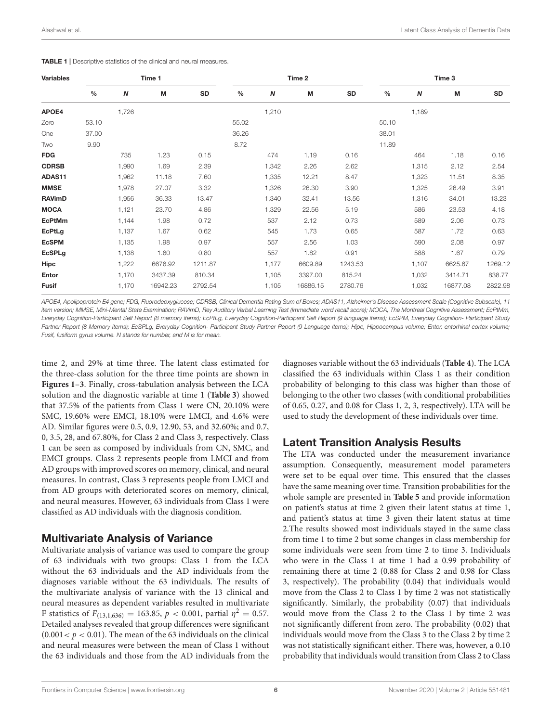| Latent Class Analysis of Dementia Data<br>Alashwal et al. |  |
|-----------------------------------------------------------|--|
|-----------------------------------------------------------|--|

| <b>Variables</b> | Time 1 |                  |          | Time 2  |               |                  | Time 3   |         |               |                  |          |         |
|------------------|--------|------------------|----------|---------|---------------|------------------|----------|---------|---------------|------------------|----------|---------|
|                  | $\%$   | $\boldsymbol{N}$ | M        | SD      | $\frac{0}{0}$ | $\boldsymbol{N}$ | M        | SD      | $\frac{0}{0}$ | $\boldsymbol{N}$ | M        | SD      |
| APOE4            |        | 1,726            |          |         |               | 1,210            |          |         |               | 1,189            |          |         |
| Zero             | 53.10  |                  |          |         | 55.02         |                  |          |         | 50.10         |                  |          |         |
| One              | 37.00  |                  |          |         | 36.26         |                  |          |         | 38.01         |                  |          |         |
| Two              | 9.90   |                  |          |         | 8.72          |                  |          |         | 11.89         |                  |          |         |
| <b>FDG</b>       |        | 735              | 1.23     | 0.15    |               | 474              | 1.19     | 0.16    |               | 464              | 1.18     | 0.16    |
| <b>CDRSB</b>     |        | 1,990            | 1.69     | 2.39    |               | 1,342            | 2.26     | 2.62    |               | 1,315            | 2.12     | 2.54    |
| ADAS11           |        | 1,962            | 11.18    | 7.60    |               | 1,335            | 12.21    | 8.47    |               | 1,323            | 11.51    | 8.35    |
| <b>MMSE</b>      |        | 1,978            | 27.07    | 3.32    |               | 1,326            | 26.30    | 3.90    |               | 1,325            | 26.49    | 3.91    |
| <b>RAVimD</b>    |        | 1,956            | 36.33    | 13.47   |               | 1,340            | 32.41    | 13.56   |               | 1,316            | 34.01    | 13.23   |
| <b>MOCA</b>      |        | 1,121            | 23.70    | 4.86    |               | 1,329            | 22.56    | 5.19    |               | 586              | 23.53    | 4.18    |
| <b>EcPtMm</b>    |        | 1,144            | 1.98     | 0.72    |               | 537              | 2.12     | 0.73    |               | 589              | 2.06     | 0.73    |
| EcPtLg           |        | 1,137            | 1.67     | 0.62    |               | 545              | 1.73     | 0.65    |               | 587              | 1.72     | 0.63    |
| <b>EcSPM</b>     |        | 1,135            | 1.98     | 0.97    |               | 557              | 2.56     | 1.03    |               | 590              | 2.08     | 0.97    |
| EcSPLg           |        | 1,138            | 1.60     | 0.80    |               | 557              | 1.82     | 0.91    |               | 588              | 1.67     | 0.79    |
| Hipc             |        | 1,222            | 6676.92  | 1211.87 |               | 1,177            | 6609.89  | 1243.53 |               | 1,107            | 6625.67  | 1269.12 |
| Entor            |        | 1,170            | 3437.39  | 810.34  |               | 1,105            | 3397.00  | 815.24  |               | 1,032            | 3414.71  | 838.77  |
| Fusif            |        | 1,170            | 16942.23 | 2792.54 |               | 1,105            | 16886.15 | 2780.76 |               | 1,032            | 16877.08 | 2822.98 |

<span id="page-5-0"></span>TABLE 1 | Descriptive statistics of the clinical and neural measures.

*APOE4, Apolipoprotein E4 gene; FDG, Fluorodeoxyglucose; CDRSB, Clinical Dementia Rating Sum of Boxes; ADAS11, Alzheimer's Disease Assessment Scale (Cognitive Subscale), 11 item version; MMSE, Mini-Mental State Examination; RAVimD, Rey Auditory Verbal Learning Test (Immediate word recall score); MOCA, The Montreal Cognitive Assessment; EcPtMm, Everyday Cognition-Participant Self Report (8 memory items); EcPtLg, Everyday Cognition-Participant Self Report (9 language items); EcSPM, Everyday Cognition- Participant Study Partner Report (8 Memory items); EcSPLg, Everyday Cognition- Participant Study Partner Report (9 Language items); Hipc, Hippocampus volume; Entor, entorhinal cortex volume; Fusif, fusiform gyrus volume. N stands for number, and M is for mean.*

time 2, and 29% at time three. The latent class estimated for the three-class solution for the three time points are shown in **[Figures 1](#page-7-0)**–**[3](#page-8-0)**. Finally, cross-tabulation analysis between the LCA solution and the diagnostic variable at time 1 (**[Table 3](#page-8-1)**) showed that 37.5% of the patients from Class 1 were CN, 20.10% were SMC, 19.60% were EMCI, 18.10% were LMCI, and 4.6% were AD. Similar figures were 0.5, 0.9, 12.90, 53, and 32.60%; and 0.7, 0, 3.5, 28, and 67.80%, for Class 2 and Class 3, respectively. Class 1 can be seen as composed by individuals from CN, SMC, and EMCI groups. Class 2 represents people from LMCI and from AD groups with improved scores on memory, clinical, and neural measures. In contrast, Class 3 represents people from LMCI and from AD groups with deteriorated scores on memory, clinical, and neural measures. However, 63 individuals from Class 1 were classified as AD individuals with the diagnosis condition.

#### Multivariate Analysis of Variance

Multivariate analysis of variance was used to compare the group of 63 individuals with two groups: Class 1 from the LCA without the 63 individuals and the AD individuals from the diagnoses variable without the 63 individuals. The results of the multivariate analysis of variance with the 13 clinical and neural measures as dependent variables resulted in multivariate F statistics of  $F_{(13,1,636)} = 163.85$ ,  $p < 0.001$ , partial  $\eta^2 = 0.57$ . Detailed analyses revealed that group differences were significant  $(0.001 < p < 0.01)$ . The mean of the 63 individuals on the clinical and neural measures were between the mean of Class 1 without the 63 individuals and those from the AD individuals from the diagnoses variable without the 63 individuals (**[Table 4](#page-9-0)**). The LCA classified the 63 individuals within Class 1 as their condition probability of belonging to this class was higher than those of belonging to the other two classes (with conditional probabilities of 0.65, 0.27, and 0.08 for Class 1, 2, 3, respectively). LTA will be used to study the development of these individuals over time.

### Latent Transition Analysis Results

The LTA was conducted under the measurement invariance assumption. Consequently, measurement model parameters were set to be equal over time. This ensured that the classes have the same meaning over time. Transition probabilities for the whole sample are presented in **[Table 5](#page-9-1)** and provide information on patient's status at time 2 given their latent status at time 1, and patient's status at time 3 given their latent status at time 2.The results showed most individuals stayed in the same class from time 1 to time 2 but some changes in class membership for some individuals were seen from time 2 to time 3. Individuals who were in the Class 1 at time 1 had a 0.99 probability of remaining there at time 2 (0.88 for Class 2 and 0.98 for Class 3, respectively). The probability (0.04) that individuals would move from the Class 2 to Class 1 by time 2 was not statistically significantly. Similarly, the probability (0.07) that individuals would move from the Class 2 to the Class 1 by time 2 was not significantly different from zero. The probability (0.02) that individuals would move from the Class 3 to the Class 2 by time 2 was not statistically significant either. There was, however, a 0.10 probability that individuals would transition from Class 2 to Class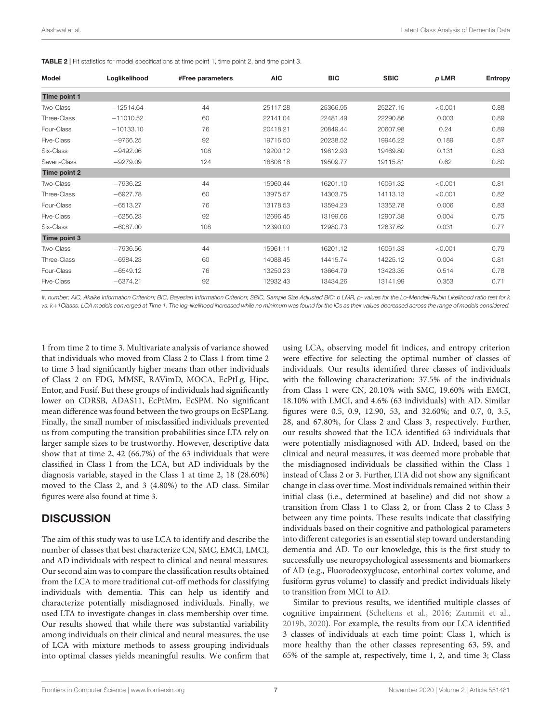| Model        | Loglikelihood | #Free parameters | <b>AIC</b> | <b>BIC</b> | <b>SBIC</b> | p LMR   | <b>Entropy</b> |
|--------------|---------------|------------------|------------|------------|-------------|---------|----------------|
| Time point 1 |               |                  |            |            |             |         |                |
| Two-Class    | $-12514.64$   | 44               | 25117.28   | 25366.95   | 25227.15    | < 0.001 | 0.88           |
| Three-Class  | $-11010.52$   | 60               | 22141.04   | 22481.49   | 22290.86    | 0.003   | 0.89           |
| Four-Class   | $-10133.10$   | 76               | 20418.21   | 20849.44   | 20607.98    | 0.24    | 0.89           |
| Five-Class   | $-9766.25$    | 92               | 19716.50   | 20238.52   | 19946.22    | 0.189   | 0.87           |
| Six-Class    | $-9492.06$    | 108              | 19200.12   | 19812.93   | 19469.80    | 0.131   | 0.83           |
| Seven-Class  | $-9279.09$    | 124              | 18806.18   | 19509.77   | 19115.81    | 0.62    | 0.80           |
| Time point 2 |               |                  |            |            |             |         |                |
| Two-Class    | $-7936.22$    | 44               | 15960.44   | 16201.10   | 16061.32    | < 0.001 | 0.81           |
| Three-Class  | $-6927.78$    | 60               | 13975.57   | 14303.75   | 14113.13    | < 0.001 | 0.82           |
| Four-Class   | $-6513.27$    | 76               | 13178.53   | 13594.23   | 13352.78    | 0.006   | 0.83           |
| Five-Class   | $-6256.23$    | 92               | 12696.45   | 13199.66   | 12907.38    | 0.004   | 0.75           |
| Six-Class    | $-6087.00$    | 108              | 12390.00   | 12980.73   | 12637.62    | 0.031   | 0.77           |
| Time point 3 |               |                  |            |            |             |         |                |
| Two-Class    | $-7936.56$    | 44               | 15961.11   | 16201.12   | 16061.33    | < 0.001 | 0.79           |
| Three-Class  | $-6984.23$    | 60               | 14088.45   | 14415.74   | 14225.12    | 0.004   | 0.81           |
| Four-Class   | $-6549.12$    | 76               | 13250.23   | 13664.79   | 13423.35    | 0.514   | 0.78           |
| Five-Class   | $-6374.21$    | 92               | 12932.43   | 13434.26   | 13141.99    | 0.353   | 0.71           |

<span id="page-6-0"></span>TABLE 2 | Fit statistics for model specifications at time point 1, time point 2, and time point 3.

*#, number; AIC, Akaike Information Criterion; BIC, Bayesian Information Criterion; SBIC, Sample Size Adjusted BIC; p LMR, p- values for the Lo-Mendell-Rubin Likelihood ratio test for k vs. k*+*1Classs. LCA models converged at Time 1. The log-likelihood increased while no minimum was found for the ICs as their values decreased across the range of models considered.*

1 from time 2 to time 3. Multivariate analysis of variance showed that individuals who moved from Class 2 to Class 1 from time 2 to time 3 had significantly higher means than other individuals of Class 2 on FDG, MMSE, RAVimD, MOCA, EcPtLg, Hipc, Entor, and Fusif. But these groups of individuals had significantly lower on CDRSB, ADAS11, EcPtMm, EcSPM. No significant mean difference was found between the two groups on EcSPLang. Finally, the small number of misclassified individuals prevented us from computing the transition probabilities since LTA rely on larger sample sizes to be trustworthy. However, descriptive data show that at time 2, 42 (66.7%) of the 63 individuals that were classified in Class 1 from the LCA, but AD individuals by the diagnosis variable, stayed in the Class 1 at time 2, 18 (28.60%) moved to the Class 2, and 3 (4.80%) to the AD class. Similar figures were also found at time 3.

### **DISCUSSION**

The aim of this study was to use LCA to identify and describe the number of classes that best characterize CN, SMC, EMCI, LMCI, and AD individuals with respect to clinical and neural measures. Our second aim was to compare the classification results obtained from the LCA to more traditional cut-off methods for classifying individuals with dementia. This can help us identify and characterize potentially misdiagnosed individuals. Finally, we used LTA to investigate changes in class membership over time. Our results showed that while there was substantial variability among individuals on their clinical and neural measures, the use of LCA with mixture methods to assess grouping individuals into optimal classes yields meaningful results. We confirm that using LCA, observing model fit indices, and entropy criterion were effective for selecting the optimal number of classes of individuals. Our results identified three classes of individuals with the following characterization: 37.5% of the individuals from Class 1 were CN, 20.10% with SMC, 19.60% with EMCI, 18.10% with LMCI, and 4.6% (63 individuals) with AD. Similar figures were 0.5, 0.9, 12.90, 53, and 32.60%; and 0.7, 0, 3.5, 28, and 67.80%, for Class 2 and Class 3, respectively. Further, our results showed that the LCA identified 63 individuals that were potentially misdiagnosed with AD. Indeed, based on the clinical and neural measures, it was deemed more probable that the misdiagnosed individuals be classified within the Class 1 instead of Class 2 or 3. Further, LTA did not show any significant change in class over time. Most individuals remained within their initial class (i.e., determined at baseline) and did not show a transition from Class 1 to Class 2, or from Class 2 to Class 3 between any time points. These results indicate that classifying individuals based on their cognitive and pathological parameters into different categories is an essential step toward understanding dementia and AD. To our knowledge, this is the first study to successfully use neuropsychological assessments and biomarkers of AD (e.g., Fluorodeoxyglucose, entorhinal cortex volume, and fusiform gyrus volume) to classify and predict individuals likely to transition from MCI to AD.

Similar to previous results, we identified multiple classes of cognitive impairment [\(Scheltens et al., 2016;](#page-11-22) [Zammit et al.,](#page-12-3) [2019b,](#page-12-3) [2020\)](#page-12-4). For example, the results from our LCA identified 3 classes of individuals at each time point: Class 1, which is more healthy than the other classes representing 63, 59, and 65% of the sample at, respectively, time 1, 2, and time 3; Class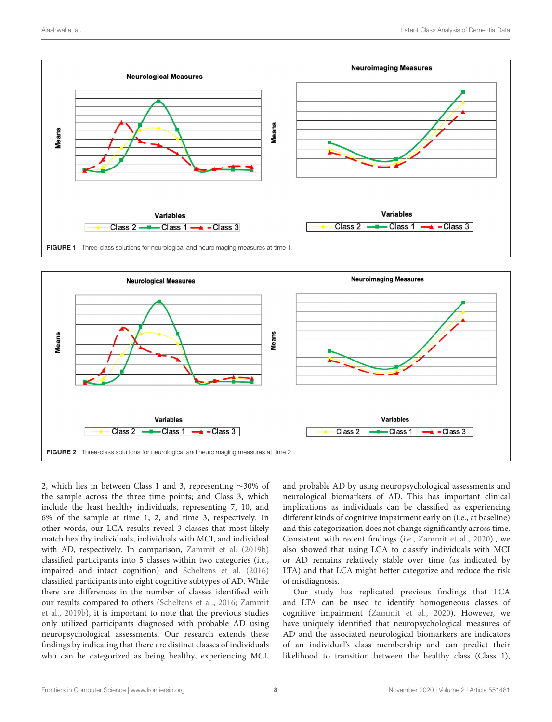

<span id="page-7-0"></span>

2, which lies in between Class 1 and 3, representing ∼30% of the sample across the three time points; and Class 3, which include the least healthy individuals, representing 7, 10, and 6% of the sample at time 1, 2, and time 3, respectively. In other words, our LCA results reveal 3 classes that most likely match healthy individuals, individuals with MCI, and individual with AD, respectively. In comparison, [Zammit et al. \(2019b\)](#page-12-3) classified participants into 5 classes within two categories (i.e., impaired and intact cognition) and [Scheltens et al. \(2016\)](#page-11-22) classified participants into eight cognitive subtypes of AD. While there are differences in the number of classes identified with our results compared to others [\(Scheltens et al., 2016;](#page-11-22) Zammit et al., [2019b\)](#page-12-3), it is important to note that the previous studies only utilized participants diagnosed with probable AD using neuropsychological assessments. Our research extends these findings by indicating that there are distinct classes of individuals who can be categorized as being healthy, experiencing MCI, and probable AD by using neuropsychological assessments and neurological biomarkers of AD. This has important clinical implications as individuals can be classified as experiencing different kinds of cognitive impairment early on (i.e., at baseline) and this categorization does not change significantly across time. Consistent with recent findings (i.e., [Zammit et al., 2020\)](#page-12-4)., we also showed that using LCA to classify individuals with MCI or AD remains relatively stable over time (as indicated by LTA) and that LCA might better categorize and reduce the risk of misdiagnosis.

Our study has replicated previous findings that LCA and LTA can be used to identify homogeneous classes of cognitive impairment [\(Zammit et al., 2020\)](#page-12-4). However, we have uniquely identified that neuropsychological measures of AD and the associated neurological biomarkers are indicators of an individual's class membership and can predict their likelihood to transition between the healthy class (Class 1),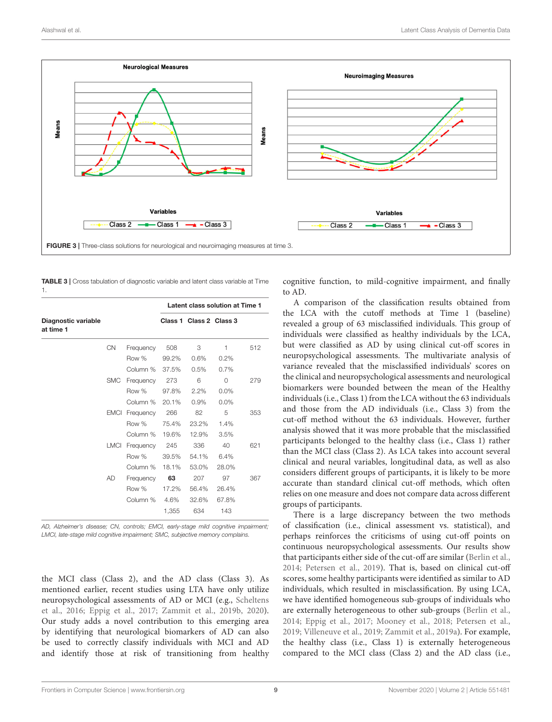

<span id="page-8-1"></span><span id="page-8-0"></span>TABLE 3 | Cross tabulation of diagnostic variable and latent class variable at Time 1.

|                                  |             |           | Latent class solution at Time 1 |                         |          |     |  |
|----------------------------------|-------------|-----------|---------------------------------|-------------------------|----------|-----|--|
| Diagnostic variable<br>at time 1 |             |           |                                 | Class 1 Class 2 Class 3 |          |     |  |
|                                  | <b>CN</b>   | Frequency | 508                             | 3                       | 1        | 512 |  |
|                                  |             | Row %     | 99.2%                           | 0.6%                    | 0.2%     |     |  |
|                                  |             | Column %  | 37.5%                           | 0.5%                    | 0.7%     |     |  |
|                                  | <b>SMC</b>  | Frequency | 273                             | 6                       | $\Omega$ | 279 |  |
|                                  |             | Row %     | 97.8%                           | 2.2%                    | 0.0%     |     |  |
|                                  |             | Column %  | 20.1%                           | 0.9%                    | 0.0%     |     |  |
|                                  | <b>EMCI</b> | Frequency | 266                             | 82                      | 5        | 353 |  |
|                                  |             | Row %     | 75.4%                           | 23.2%                   | 1.4%     |     |  |
|                                  |             | Column %  | 19.6%                           | 12.9%                   | 3.5%     |     |  |
|                                  | <b>LMCI</b> | Frequency | 245                             | 336                     | 40       | 621 |  |
|                                  |             | Row %     | 39.5%                           | 54.1%                   | 6.4%     |     |  |
|                                  |             | Column %  | 18.1%                           | 53.0%                   | 28.0%    |     |  |
|                                  | AD          | Frequency | 63                              | 207                     | 97       | 367 |  |
|                                  |             | Row %     | 17.2%                           | 56.4%                   | 26.4%    |     |  |
|                                  |             | Column %  | 4.6%                            | 32.6%                   | 67.8%    |     |  |
|                                  |             |           | 1,355                           | 634                     | 143      |     |  |

*AD, Alzheimer's disease; CN, controls; EMCI, early-stage mild cognitive impairment; LMCI, late-stage mild cognitive impairment; SMC, subjective memory complains.*

the MCI class (Class 2), and the AD class (Class 3). As mentioned earlier, recent studies using LTA have only utilize neuropsychological assessments of AD or MCI (e.g., Scheltens et al., [2016;](#page-11-22) [Eppig et al., 2017;](#page-11-20) [Zammit et al., 2019b,](#page-12-3) [2020\)](#page-12-4). Our study adds a novel contribution to this emerging area by identifying that neurological biomarkers of AD can also be used to correctly classify individuals with MCI and AD and identify those at risk of transitioning from healthy

cognitive function, to mild-cognitive impairment, and finally to AD.

A comparison of the classification results obtained from the LCA with the cutoff methods at Time 1 (baseline) revealed a group of 63 misclassified individuals. This group of individuals were classified as healthy individuals by the LCA, but were classified as AD by using clinical cut-off scores in neuropsychological assessments. The multivariate analysis of variance revealed that the misclassified individuals' scores on the clinical and neuropsychological assessments and neurological biomarkers were bounded between the mean of the Healthy individuals (i.e., Class 1) from the LCA without the 63 individuals and those from the AD individuals (i.e., Class 3) from the cut-off method without the 63 individuals. However, further analysis showed that it was more probable that the misclassified participants belonged to the healthy class (i.e., Class 1) rather than the MCI class (Class 2). As LCA takes into account several clinical and neural variables, longitudinal data, as well as also considers different groups of participants, it is likely to be more accurate than standard clinical cut-off methods, which often relies on one measure and does not compare data across different groups of participants.

There is a large discrepancy between the two methods of classification (i.e., clinical assessment vs. statistical), and perhaps reinforces the criticisms of using cut-off points on continuous neuropsychological assessments. Our results show that participants either side of the cut-off are similar [\(Berlin et al.,](#page-11-18) [2014;](#page-11-18) [Petersen et al., 2019\)](#page-11-19). That is, based on clinical cut-off scores, some healthy participants were identified as similar to AD individuals, which resulted in misclassification. By using LCA, we have identified homogeneous sub-groups of individuals who are externally heterogeneous to other sub-groups [\(Berlin et al.,](#page-11-18) [2014;](#page-11-18) [Eppig et al., 2017;](#page-11-20) [Mooney et al., 2018;](#page-11-21) [Petersen et al.,](#page-11-19) [2019;](#page-11-19) [Villeneuve et al., 2019;](#page-12-1) [Zammit et al., 2019a\)](#page-12-2). For example, the healthy class (i.e., Class 1) is externally heterogeneous compared to the MCI class (Class 2) and the AD class (i.e.,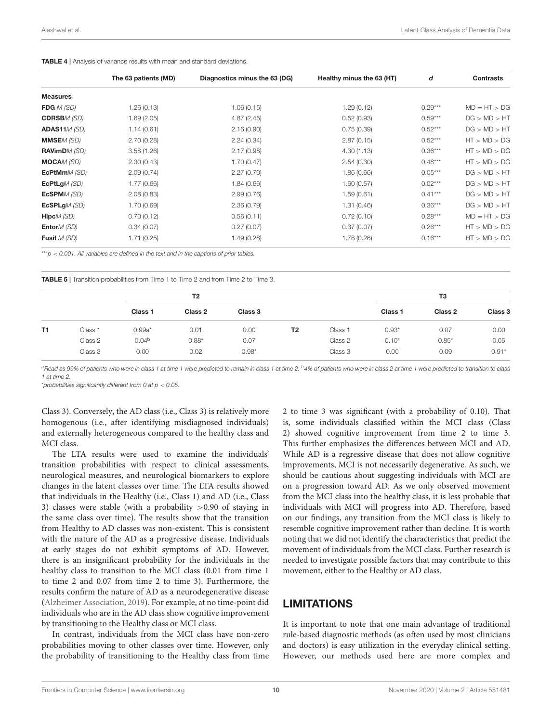<span id="page-9-0"></span>

|                             | The 63 patients (MD) | Diagnostics minus the 63 (DG) | Healthy minus the 63 (HT) | d         | <b>Contrasts</b> |
|-----------------------------|----------------------|-------------------------------|---------------------------|-----------|------------------|
| <b>Measures</b>             |                      |                               |                           |           |                  |
| FDG $M(SD)$                 | 1.26 (0.13)          | 1.06(0.15)                    | 1.29(0.12)                | $0.29***$ | $MD = HT > DG$   |
| <b>CDRSB</b> M (SD)         | 1.69(2.05)           | 4.87(2.45)                    | 0.52(0.93)                | $0.59***$ | DG > MD > HT     |
| <b>ADAS11M (SD)</b>         | 1.14(0.61)           | 2.16(0.90)                    | 0.75(0.39)                | $0.52***$ | DG > MD > HT     |
| <b>MMSE</b> M (SD)          | 2.70(0.28)           | 2.24(0.34)                    | 2.87(0.15)                | $0.52***$ | HT > MD > DG     |
| <b>RAVimD</b> <i>M</i> (SD) | 3.58(1.26)           | 2.17(0.98)                    | 4.30(1.13)                | $0.36***$ | HT > MD > DG     |
| <b>MOCA</b> <i>M</i> (SD)   | 2.30(0.43)           | 1.70(0.47)                    | 2.54(0.30)                | $0.48***$ | HT > MD > DG     |
| <b>EcPtMm</b> <i>M</i> (SD) | 2.09(0.74)           | 2.27(0.70)                    | 1.86(0.66)                | $0.05***$ | DG > MD > HT     |
| EcPtLgM(SD)                 | 1.77 (0.66)          | 1.84(0.66)                    | 1.60(0.57)                | $0.02***$ | DG > MD > HT     |
| EcSPMM (SD)                 | 2.08(0.83)           | 2.99(0.76)                    | 1.59(0.61)                | $0.41***$ | DG > MD > HT     |
| EcSPLgM(SD)                 | 1.70 (0.69)          | 2.36(0.79)                    | 1.31(0.46)                | $0.36***$ | DG > MD > HT     |
| HipcM(SD)                   | 0.70(0.12)           | 0.56(0.11)                    | 0.72(0.10)                | $0.28***$ | $MD = HT > DG$   |
| EntorM (SD)                 | 0.34(0.07)           | 0.27(0.07)                    | 0.37(0.07)                | $0.26***$ | HT > MD > DG     |
| <b>Fusif</b> $M(SD)$        | 1.71 (0.25)          | 1.49(0.28)                    | 1.78 (0.26)               | $0.16***$ | HT > MD > DG     |

\*\*\**p* < *0.001. All variables are defined in the text and in the captions of prior tables.*

<span id="page-9-1"></span>TABLE 5 | Transition probabilities from Time 1 to Time 2 and from Time 2 to Time 3.

|                |         | T <sub>2</sub>    |         |         |                |         |         | T3      |         |
|----------------|---------|-------------------|---------|---------|----------------|---------|---------|---------|---------|
|                |         | Class 1           | Class 2 | Class 3 |                |         | Class 1 | Class 2 | Class 3 |
| T <sub>1</sub> | Class 1 | $0.99a*$          | 0.01    | 0.00    | T <sub>2</sub> | Class 1 | $0.93*$ | 0.07    | 0.00    |
|                | Class 2 | 0.04 <sup>b</sup> | $0.88*$ | 0.07    |                | Class 2 | $0.10*$ | $0.85*$ | 0.05    |
|                | Class 3 | 0.00              | 0.02    | $0.98*$ |                | Class 3 | 0.00    | 0.09    | $0.91*$ |

*<sup>a</sup>Read as 99% of patients who were in class 1 at time 1 were predicted to remain in class 1 at time 2. <sup>b</sup>4% of patients who were in class 2 at time 1 were predicted to transition to class 1 at time 2.*

\**probabilities significantly different from 0 at p* < *0.05.*

Class 3). Conversely, the AD class (i.e., Class 3) is relatively more homogenous (i.e., after identifying misdiagnosed individuals) and externally heterogeneous compared to the healthy class and MCI class.

The LTA results were used to examine the individuals' transition probabilities with respect to clinical assessments, neurological measures, and neurological biomarkers to explore changes in the latent classes over time. The LTA results showed that individuals in the Healthy (i.e., Class 1) and AD (i.e., Class 3) classes were stable (with a probability >0.90 of staying in the same class over time). The results show that the transition from Healthy to AD classes was non-existent. This is consistent with the nature of the AD as a progressive disease. Individuals at early stages do not exhibit symptoms of AD. However, there is an insignificant probability for the individuals in the healthy class to transition to the MCI class (0.01 from time 1 to time 2 and 0.07 from time 2 to time 3). Furthermore, the results confirm the nature of AD as a neurodegenerative disease [\(Alzheimer Association, 2019\)](#page-11-0). For example, at no time-point did individuals who are in the AD class show cognitive improvement by transitioning to the Healthy class or MCI class.

In contrast, individuals from the MCI class have non-zero probabilities moving to other classes over time. However, only the probability of transitioning to the Healthy class from time 2 to time 3 was significant (with a probability of 0.10). That is, some individuals classified within the MCI class (Class 2) showed cognitive improvement from time 2 to time 3. This further emphasizes the differences between MCI and AD. While AD is a regressive disease that does not allow cognitive improvements, MCI is not necessarily degenerative. As such, we should be cautious about suggesting individuals with MCI are on a progression toward AD. As we only observed movement from the MCI class into the healthy class, it is less probable that individuals with MCI will progress into AD. Therefore, based on our findings, any transition from the MCI class is likely to resemble cognitive improvement rather than decline. It is worth noting that we did not identify the characteristics that predict the movement of individuals from the MCI class. Further research is needed to investigate possible factors that may contribute to this movement, either to the Healthy or AD class.

### **LIMITATIONS**

It is important to note that one main advantage of traditional rule-based diagnostic methods (as often used by most clinicians and doctors) is easy utilization in the everyday clinical setting. However, our methods used here are more complex and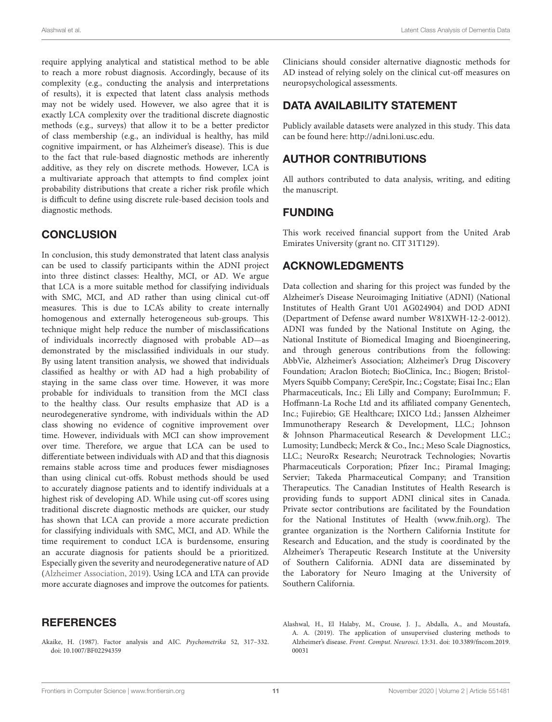require applying analytical and statistical method to be able to reach a more robust diagnosis. Accordingly, because of its complexity (e.g., conducting the analysis and interpretations of results), it is expected that latent class analysis methods may not be widely used. However, we also agree that it is exactly LCA complexity over the traditional discrete diagnostic methods (e.g., surveys) that allow it to be a better predictor of class membership (e.g., an individual is healthy, has mild cognitive impairment, or has Alzheimer's disease). This is due to the fact that rule-based diagnostic methods are inherently additive, as they rely on discrete methods. However, LCA is a multivariate approach that attempts to find complex joint probability distributions that create a richer risk profile which is difficult to define using discrete rule-based decision tools and diagnostic methods.

### **CONCLUSION**

In conclusion, this study demonstrated that latent class analysis can be used to classify participants within the ADNI project into three distinct classes: Healthy, MCI, or AD. We argue that LCA is a more suitable method for classifying individuals with SMC, MCI, and AD rather than using clinical cut-off measures. This is due to LCA's ability to create internally homogenous and externally heterogeneous sub-groups. This technique might help reduce the number of misclassifications of individuals incorrectly diagnosed with probable AD—as demonstrated by the misclassified individuals in our study. By using latent transition analysis, we showed that individuals classified as healthy or with AD had a high probability of staying in the same class over time. However, it was more probable for individuals to transition from the MCI class to the healthy class. Our results emphasize that AD is a neurodegenerative syndrome, with individuals within the AD class showing no evidence of cognitive improvement over time. However, individuals with MCI can show improvement over time. Therefore, we argue that LCA can be used to differentiate between individuals with AD and that this diagnosis remains stable across time and produces fewer misdiagnoses than using clinical cut-offs. Robust methods should be used to accurately diagnose patients and to identify individuals at a highest risk of developing AD. While using cut-off scores using traditional discrete diagnostic methods are quicker, our study has shown that LCA can provide a more accurate prediction for classifying individuals with SMC, MCI, and AD. While the time requirement to conduct LCA is burdensome, ensuring an accurate diagnosis for patients should be a prioritized. Especially given the severity and neurodegenerative nature of AD [\(Alzheimer Association, 2019\)](#page-11-0). Using LCA and LTA can provide more accurate diagnoses and improve the outcomes for patients. Clinicians should consider alternative diagnostic methods for AD instead of relying solely on the clinical cut-off measures on neuropsychological assessments.

# DATA AVAILABILITY STATEMENT

Publicly available datasets were analyzed in this study. This data can be found here: [http://adni.loni.usc.edu.](http://adni.loni.usc.edu)

# AUTHOR CONTRIBUTIONS

All authors contributed to data analysis, writing, and editing the manuscript.

# FUNDING

This work received financial support from the United Arab Emirates University (grant no. CIT 31T129).

# ACKNOWLEDGMENTS

Data collection and sharing for this project was funded by the Alzheimer's Disease Neuroimaging Initiative (ADNI) (National Institutes of Health Grant U01 AG024904) and DOD ADNI (Department of Defense award number W81XWH-12-2-0012). ADNI was funded by the National Institute on Aging, the National Institute of Biomedical Imaging and Bioengineering, and through generous contributions from the following: AbbVie, Alzheimer's Association; Alzheimer's Drug Discovery Foundation; Araclon Biotech; BioClinica, Inc.; Biogen; Bristol-Myers Squibb Company; CereSpir, Inc.; Cogstate; Eisai Inc.; Elan Pharmaceuticals, Inc.; Eli Lilly and Company; EuroImmun; F. Hoffmann-La Roche Ltd and its affiliated company Genentech, Inc.; Fujirebio; GE Healthcare; IXICO Ltd.; Janssen Alzheimer Immunotherapy Research & Development, LLC.; Johnson & Johnson Pharmaceutical Research & Development LLC.; Lumosity; Lundbeck; Merck & Co., Inc.; Meso Scale Diagnostics, LLC.; NeuroRx Research; Neurotrack Technologies; Novartis Pharmaceuticals Corporation; Pfizer Inc.; Piramal Imaging; Servier; Takeda Pharmaceutical Company; and Transition Therapeutics. The Canadian Institutes of Health Research is providing funds to support ADNI clinical sites in Canada. Private sector contributions are facilitated by the Foundation for the National Institutes of Health [\(www.fnih.org\)](www.fnih.org). The grantee organization is the Northern California Institute for Research and Education, and the study is coordinated by the Alzheimer's Therapeutic Research Institute at the University of Southern California. ADNI data are disseminated by the Laboratory for Neuro Imaging at the University of Southern California.

### **REFERENCES**

- <span id="page-10-1"></span>Akaike, H. (1987). Factor analysis and AIC. Psychometrika 52, 317–332. doi: [10.1007/BF02294359](https://doi.org/10.1007/BF02294359)
- <span id="page-10-0"></span>Alashwal, H., El Halaby, M., Crouse, J. J., Abdalla, A., and Moustafa, A. A. (2019). The application of unsupervised clustering methods to Alzheimer's disease. Front. Comput. Neurosci. [13:31. doi: 10.3389/fncom.2019.](https://doi.org/10.3389/fncom.2019.00031) 00031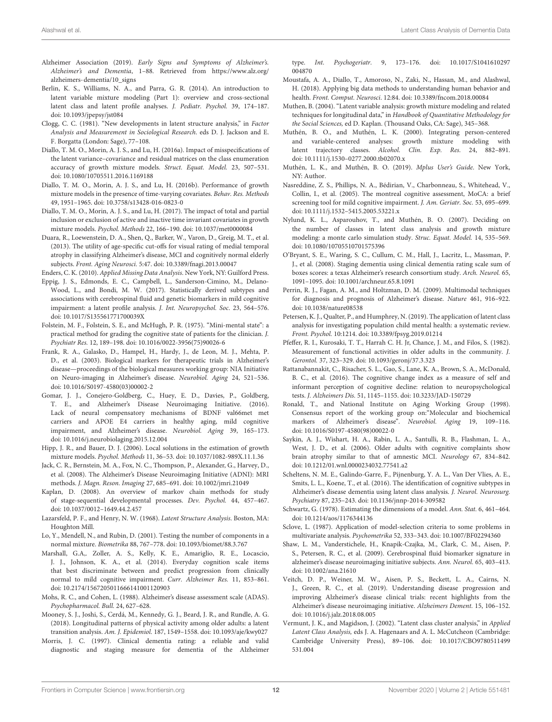- <span id="page-11-0"></span>Alzheimer Association (2019). Early Signs and Symptoms of Alzheimer's. Alzheimer's and Dementia, 1–88. Retrieved from [https://www.alz.org/](https://www.alz.org/alzheimers-dementia/10_signs) [alzheimers-dementia/10\\_signs](https://www.alz.org/alzheimers-dementia/10_signs)
- <span id="page-11-18"></span>Berlin, K. S., Williams, N. A., and Parra, G. R. (2014). An introduction to latent variable mixture modeling (Part 1): overview and cross-sectional latent class and latent profile analyses. J. Pediatr. Psychol. 39, 174–187. doi: [10.1093/jpepsy/jst084](https://doi.org/10.1093/jpepsy/jst084)
- <span id="page-11-25"></span>Clogg, C. C. (1981). "New developments in latent structure analysis," in Factor Analysis and Measurement in Sociological Research. eds D. J. Jackson and E. F. Borgatta (London: Sage), 77–108.
- <span id="page-11-33"></span>Diallo, T. M. O., Morin, A. J. S., and Lu, H. (2016a). Impact of misspecifications of the latent variance–covariance and residual matrices on the class enumeration accuracy of growth mixture models. Struct. Equat. Model. 23, 507–531. doi: [10.1080/10705511.2016.1169188](https://doi.org/10.1080/10705511.2016.1169188)
- <span id="page-11-34"></span>Diallo, T. M. O., Morin, A. J. S., and Lu, H. (2016b). Performance of growth mixture models in the presence of time-varying covariates. Behav. Res. Methods 49, 1951–1965. doi: [10.3758/s13428-016-0823-0](https://doi.org/10.3758/s13428-016-0823-0)
- <span id="page-11-35"></span>Diallo, T. M. O., Morin, A. J. S., and Lu, H. (2017). The impact of total and partial inclusion or exclusion of active and inactive time invariant covariates in growth mixture models. Psychol. Methods 22, 166–190. doi: [10.1037/met0000084](https://doi.org/10.1037/met0000084)
- <span id="page-11-4"></span>Duara, R., Loewenstein, D. A., Shen, Q., Barker, W., Varon, D., Greig, M. T., et al. (2013). The utility of age-specific cut-offs for visual rating of medial temporal atrophy in classifying Alzheimer's disease, MCI and cognitively normal elderly subjects. Front. Aging Neurosci. 5:47. doi: [10.3389/fnagi.2013.00047](https://doi.org/10.3389/fnagi.2013.00047)

<span id="page-11-38"></span>Enders, C. K. (2010). Applied Missing Data Analysis. New York, NY: Guilford Press.

- <span id="page-11-20"></span>Eppig, J. S., Edmonds, E. C., Campbell, L., Sanderson-Cimino, M., Delano-Wood, L., and Bondi, M. W. (2017). Statistically derived subtypes and associations with cerebrospinal fluid and genetic biomarkers in mild cognitive impairment: a latent profile analysis. J. Int. Neuropsychol. Soc. 23, 564–576. doi: [10.1017/S135561771700039X](https://doi.org/10.1017/S135561771700039X)
- <span id="page-11-9"></span>Folstein, M. F., Folstein, S. E., and McHugh, P. R. (1975). "Mini-mental state": a practical method for grading the cognitive state of patients for the clinician. J. Psychiatr Res. 12, 189–198. doi: [10.1016/0022-3956\(75\)90026-6](https://doi.org/10.1016/0022-3956(75)90026-6)
- <span id="page-11-17"></span>Frank, R. A., Galasko, D., Hampel, H., Hardy, J., de Leon, M. J., Mehta, P. D., et al. (2003). Biological markers for therapeutic trials in Alzheimer's disease—proceedings of the biological measures working group: NIA Initiative on Neuro-imaging in Alzheimer's disease. Neurobiol. Aging 24, 521–536. doi: [10.1016/S0197-4580\(03\)00002-2](https://doi.org/10.1016/S0197-4580(03)00002-2)
- <span id="page-11-14"></span>Gomar, J. J., Conejero-Goldberg, C., Huey, E. D., Davies, P., Goldberg, T. E., and Alzheimer's Disease Neuroimaging Initiative. (2016). Lack of neural compensatory mechanisms of BDNF val66met met carriers and APOE E4 carriers in healthy aging, mild cognitive impairment, and Alzheimer's disease. Neurobiol. Aging 39, 165–173. doi: [10.1016/j.neurobiolaging.2015.12.004](https://doi.org/10.1016/j.neurobiolaging.2015.12.004)
- <span id="page-11-36"></span>Hipp, J. R., and Bauer, D. J. (2006). Local solutions in the estimation of growth mixture models. Psychol. Methods 11, 36–53. doi: [10.1037/1082-989X.11.1.36](https://doi.org/10.1037/1082-989X.11.1.36)
- <span id="page-11-1"></span>Jack, C. R., Bernstein, M. A., Fox, N. C., Thompson, P., Alexander, G., Harvey, D., et al. (2008). The Alzheimer's Disease Neuroimaging Initiative (ADNI): MRI methods. J. Magn. Reson. Imaging 27, 685–691. doi: [10.1002/jmri.21049](https://doi.org/10.1002/jmri.21049)
- <span id="page-11-23"></span>Kaplan, D. (2008). An overview of markov chain methods for study of stage-sequential developmental processes. Dev. Psychol. 44, 457–467. doi: [10.1037/0012–1649.44.2.457](https://doi.org/10.1037/\hbox {0012--1649}.44.2.457)
- <span id="page-11-24"></span>Lazarsfeld, P. F., and Henry, N. W. (1968). Latent Structure Analysis. Boston, MA: Houghton Mill.
- <span id="page-11-32"></span>Lo, Y., Mendell, N., and Rubin, D. (2001). Testing the number of components in a normal mixture. Biometrika 88, 767–778. doi: [10.1093/biomet/88.3.767](https://doi.org/10.1093/biomet/88.3.767)
- <span id="page-11-7"></span>Marshall, G.A,. Zoller, A. S., Kelly, K. E., Amariglio, R. E., Locascio, J. J., Johnson, K. A., et al. (2014). Everyday cognition scale items that best discriminate between and predict progression from clinically normal to mild cognitive impairment. Curr. Alzheimer Res. 11, 853–861. doi: [10.2174/1567205011666141001120903](https://doi.org/10.2174/1567205011666141001120903)
- <span id="page-11-6"></span>Mohs, R. C., and Cohen, L. (1988). Alzheimer's disease assessment scale (ADAS). Psychopharmacol. Bull. 24, 627–628.
- <span id="page-11-21"></span>Mooney, S. J., Joshi, S., Cerdá, M., Kennedy, G. J., Beard, J. R., and Rundle, A. G. (2018). Longitudinal patterns of physical activity among older adults: a latent transition analysis. Am. J. Epidemiol. 187, 1549–1558. doi: [10.1093/aje/kwy027](https://doi.org/10.1093/aje/kwy027)
- <span id="page-11-2"></span>Morris, J. C. (1997). Clinical dementia rating: a reliable and valid diagnostic and staging measure for dementia of the Alzheimer

type. Int. Psychogeriatr. [9, 173–176. doi: 10.1017/S1041610297](https://doi.org/10.1017/S1041610297004870) 004870

- <span id="page-11-26"></span>Moustafa, A. A., Diallo, T., Amoroso, N., Zaki, N., Hassan, M., and Alashwal, H. (2018). Applying big data methods to understanding human behavior and health. Front. Comput. Neurosci. 12:84. doi: [10.3389/fncom.2018.00084](https://doi.org/10.3389/fncom.2018.00084)
- <span id="page-11-39"></span>Muthen, B. (2004). "Latent variable analysis: growth mixture modeling and related techniques for longitudinal data," in Handbook of Quantitative Methodology for the Social Sciences, ed D. Kaplan. (Thousand Oaks, CA: Sage), 345–368.
- <span id="page-11-28"></span>Muthén, B. O., and Muthén, L. K. (2000). Integrating person-centered and variable-centered analyses: growth mixture modeling with latent trajectory classes. Alcohol. Clin. Exp. Res. 24, 882–891. doi: [10.1111/j.1530–0277.2000.tb02070.x](https://doi.org/10.1111/j.\hbox {1530--0277}.2000.tb02070.x)
- <span id="page-11-37"></span>Muthén, L. K., and Muthén, B. O. (2019). Mplus User's Guide. New York, NY: Author.
- <span id="page-11-8"></span>Nasreddine, Z. S., Phillips, N. A., Bédirian, V., Charbonneau, S., Whitehead, V., Collin, I., et al. (2005). The montreal cognitive assessment, MoCA: a brief screening tool for mild cognitive impairment. J. Am. Geriatr. Soc. 53, 695–699. doi: [10.1111/j.1532–5415.2005.53221.x](https://doi.org/10.1111/j.\hbox {1532--5415}.2005.53221.x)
- <span id="page-11-27"></span>Nylund, K. L., Asparouhov, T., and Muthén, B. O. (2007). Deciding on the number of classes in latent class analysis and growth mixture modeling: a monte carlo simulation study. Struc. Equat. Model. 14, 535–569. doi: [10.1080/10705510701575396](https://doi.org/10.1080/10705510701575396)
- <span id="page-11-3"></span>O'Bryant, S. E., Waring, S. C., Cullum, C. M., Hall, J., Lacritz, L., Massman, P. J., et al. (2008). Staging dementia using clinical dementia rating scale sum of boxes scores: a texas Alzheimer's research consortium study. Arch. Neurol. 65, 1091–1095. doi: [10.1001/archneur.65.8.1091](https://doi.org/10.1001/archneur.65.8.1091)
- <span id="page-11-13"></span>Perrin, R. J., Fagan, A. M., and Holtzman, D. M. (2009). Multimodal techniques for diagnosis and prognosis of Alzheimer's disease. Nature 461, 916–922. doi: [10.1038/nature08538](https://doi.org/10.1038/nature08538)
- <span id="page-11-19"></span>Petersen, K. J., Qualter, P., and Humphrey, N. (2019). The application of latent class analysis for investigating population child mental health: a systematic review. Front. Psychol. 10:1214. doi: [10.3389/fpsyg.2019.01214](https://doi.org/10.3389/fpsyg.2019.01214)
- <span id="page-11-5"></span>Pfeffer, R. I., Kurosaki, T. T., Harrah C. H. Jr, Chance, J. M., and Filos, S. (1982). Measurement of functional activities in older adults in the community. J. Gerontol. 37, 323–329. doi: [10.1093/geronj/37.3.323](https://doi.org/10.1093/geronj/37.3.323)
- <span id="page-11-11"></span>Rattanabannakit, C., Risacher, S. L., Gao, S., Lane, K. A., Brown, S. A., McDonald, B. C., et al. (2016). The cognitive change index as a measure of self and informant perception of cognitive decline: relation to neuropsychological tests. J. Alzheimers Dis. 51, 1145–1155. doi: [10.3233/JAD-150729](https://doi.org/10.3233/JAD-150729)
- <span id="page-11-16"></span>Ronald, T., and National Institute on Aging Working Group (1998). Consensus report of the working group on:"Molecular and biochemical markers of Alzheimer's disease". Neurobiol. Aging 19, 109–116. doi: [10.1016/S0197-4580\(98\)00022-0](https://doi.org/10.1016/S0197-4580(98)00022-0)
- <span id="page-11-10"></span>Saykin, A. J., Wishart, H. A., Rabin, L. A., Santulli, R. B., Flashman, L. A., West, J. D., et al. (2006). Older adults with cognitive complaints show brain atrophy similar to that of amnestic MCI. Neurology 67, 834–842. doi: [10.1212/01.wnl.0000234032.77541.a2](https://doi.org/10.1212/01.wnl.0000234032.77541.a2)
- <span id="page-11-22"></span>Scheltens, N. M. E., Galindo-Garre, F., Pijnenburg, Y. A. L., Van Der Vlies, A. E., Smits, L. L., Koene, T., et al. (2016). The identification of cognitive subtypes in Alzheimer's disease dementia using latent class analysis. J. Neurol. Neurosurg. Psychiatry 87, 235–243. doi: [10.1136/jnnp-2014-309582](https://doi.org/10.1136/jnnp-2014-309582)
- <span id="page-11-30"></span>Schwartz, G. (1978). Estimating the dimensions of a model. Ann. Stat. 6, 461–464. doi: [10.1214/aos/1176344136](https://doi.org/10.1214/aos/1176344136)
- <span id="page-11-31"></span>Sclove, L. (1987). Application of model-selection criteria to some problems in multivariate analysis. Psychometrika 52, 333–343. doi: [10.1007/BF02294360](https://doi.org/10.1007/BF02294360)
- <span id="page-11-12"></span>Shaw, L. M., Vanderstichele, H., Knapik-Czajka, M., Clark, C. M., Aisen, P. S., Petersen, R. C., et al. (2009). Cerebrospinal fluid biomarker signature in alzheimer's disease neuroimaging initiative subjects. Ann. Neurol. 65, 403–413. doi: [10.1002/ana.21610](https://doi.org/10.1002/ana.21610)
- <span id="page-11-15"></span>Veitch, D. P., Weiner, M. W., Aisen, P. S., Beckett, L. A., Cairns, N. J., Green, R. C., et al. (2019). Understanding disease progression and improving Alzheimer's disease clinical trials: recent highlights from the Alzheimer's disease neuroimaging initiative. Alzheimers Dement. 15, 106–152. doi: [10.1016/j.jalz.2018.08.005](https://doi.org/10.1016/j.jalz.2018.08.005)
- <span id="page-11-29"></span>Vermunt, J. K., and Magidson, J. (2002). "Latent class cluster analysis," in Applied Latent Class Analysis, eds J. A. Hagenaars and A. L. McCutcheon (Cambridge: [Cambridge University Press\), 89–106. doi: 10.1017/CBO9780511499](https://doi.org/10.1017/CBO9780511499531.004) 531.004